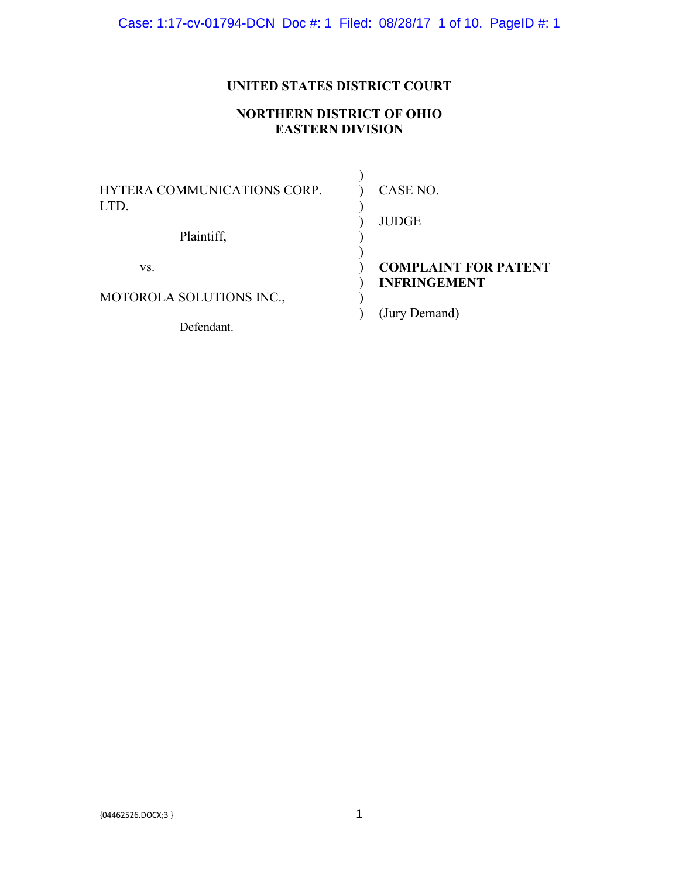# **UNITED STATES DISTRICT COURT**

# **NORTHERN DISTRICT OF OHIO EASTERN DIVISION**

| HYTERA COMMUNICATIONS CORP.<br>LTD.<br>Plaintiff, | CASE NO.<br><b>JUDGE</b>                           |
|---------------------------------------------------|----------------------------------------------------|
| VS.                                               | <b>COMPLAINT FOR PATENT</b><br><b>INFRINGEMENT</b> |
| MOTOROLA SOLUTIONS INC.,                          | (Jury Demand)                                      |
| Defendant.                                        |                                                    |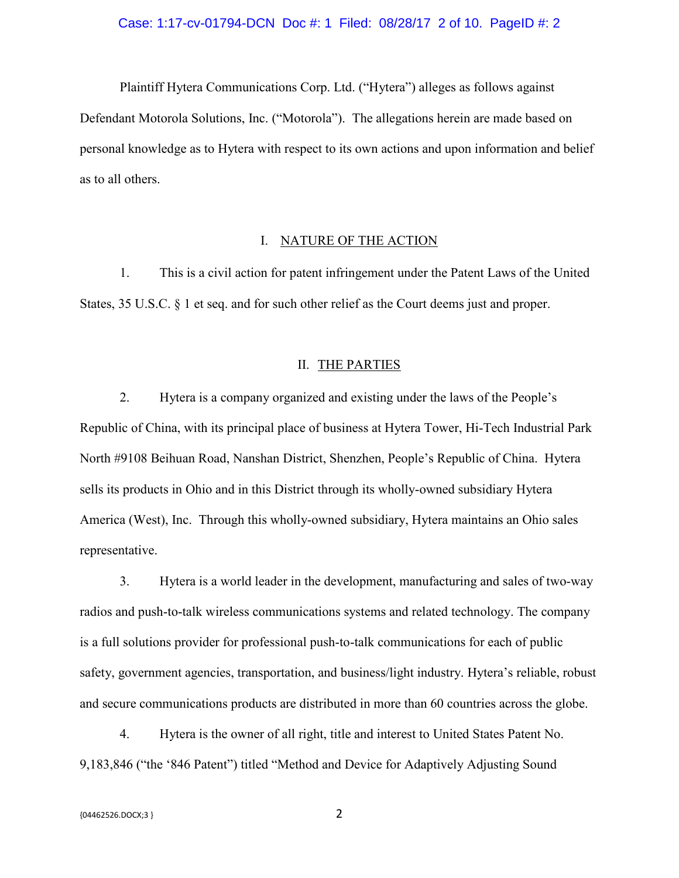#### Case: 1:17-cv-01794-DCN Doc #: 1 Filed: 08/28/17 2 of 10. PageID #: 2

Plaintiff Hytera Communications Corp. Ltd. ("Hytera") alleges as follows against Defendant Motorola Solutions, Inc. ("Motorola"). The allegations herein are made based on personal knowledge as to Hytera with respect to its own actions and upon information and belief as to all others.

## I. NATURE OF THE ACTION

1. This is a civil action for patent infringement under the Patent Laws of the United States, 35 U.S.C. § 1 et seq. and for such other relief as the Court deems just and proper.

#### II. THE PARTIES

2. Hytera is a company organized and existing under the laws of the People's Republic of China, with its principal place of business at Hytera Tower, Hi-Tech Industrial Park North #9108 Beihuan Road, Nanshan District, Shenzhen, People's Republic of China. Hytera sells its products in Ohio and in this District through its wholly-owned subsidiary Hytera America (West), Inc. Through this wholly-owned subsidiary, Hytera maintains an Ohio sales representative.

3. Hytera is a world leader in the development, manufacturing and sales of two-way radios and push-to-talk wireless communications systems and related technology. The company is a full solutions provider for professional push-to-talk communications for each of public safety, government agencies, transportation, and business/light industry. Hytera's reliable, robust and secure communications products are distributed in more than 60 countries across the globe.

4. Hytera is the owner of all right, title and interest to United States Patent No. 9,183,846 ("the '846 Patent") titled "Method and Device for Adaptively Adjusting Sound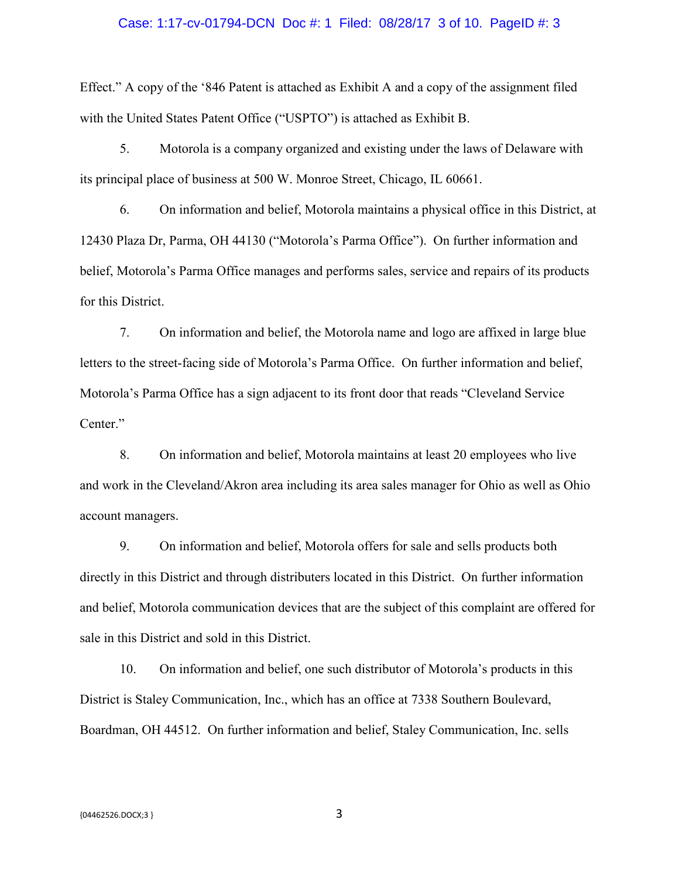#### Case: 1:17-cv-01794-DCN Doc #: 1 Filed: 08/28/17 3 of 10. PageID #: 3

Effect." A copy of the '846 Patent is attached as Exhibit A and a copy of the assignment filed with the United States Patent Office ("USPTO") is attached as Exhibit B.

5. Motorola is a company organized and existing under the laws of Delaware with its principal place of business at 500 W. Monroe Street, Chicago, IL 60661.

6. On information and belief, Motorola maintains a physical office in this District, at 12430 Plaza Dr, Parma, OH 44130 ("Motorola's Parma Office"). On further information and belief, Motorola's Parma Office manages and performs sales, service and repairs of its products for this District.

7. On information and belief, the Motorola name and logo are affixed in large blue letters to the street-facing side of Motorola's Parma Office. On further information and belief, Motorola's Parma Office has a sign adjacent to its front door that reads "Cleveland Service Center."

8. On information and belief, Motorola maintains at least 20 employees who live and work in the Cleveland/Akron area including its area sales manager for Ohio as well as Ohio account managers.

9. On information and belief, Motorola offers for sale and sells products both directly in this District and through distributers located in this District. On further information and belief, Motorola communication devices that are the subject of this complaint are offered for sale in this District and sold in this District.

10. On information and belief, one such distributor of Motorola's products in this District is Staley Communication, Inc., which has an office at 7338 Southern Boulevard, Boardman, OH 44512. On further information and belief, Staley Communication, Inc. sells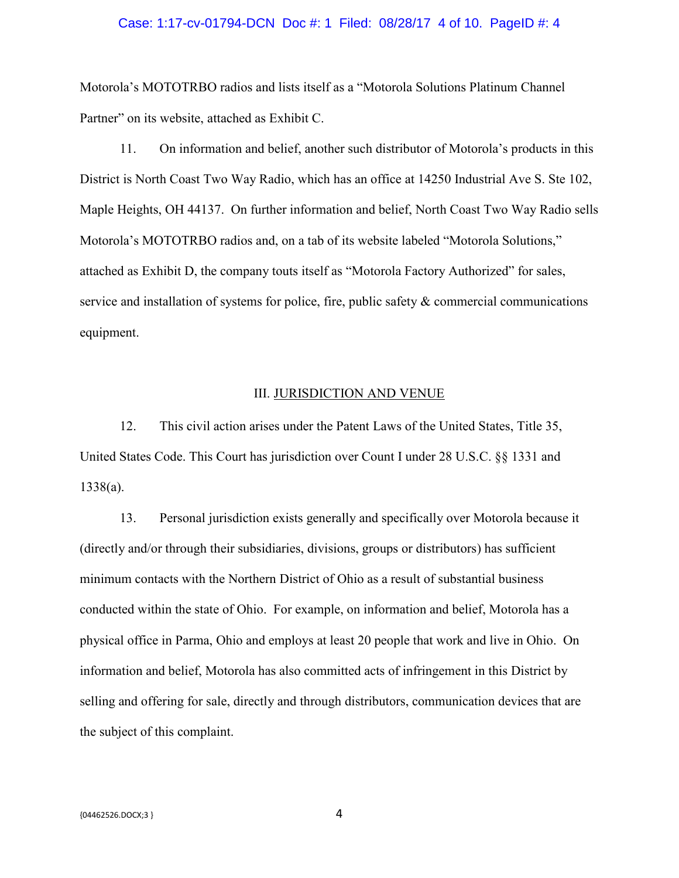#### Case: 1:17-cv-01794-DCN Doc #: 1 Filed: 08/28/17 4 of 10. PageID #: 4

Motorola's MOTOTRBO radios and lists itself as a "Motorola Solutions Platinum Channel Partner" on its website, attached as Exhibit C.

11. On information and belief, another such distributor of Motorola's products in this District is North Coast Two Way Radio, which has an office at 14250 Industrial Ave S. Ste 102, Maple Heights, OH 44137. On further information and belief, North Coast Two Way Radio sells Motorola's MOTOTRBO radios and, on a tab of its website labeled "Motorola Solutions," attached as Exhibit D, the company touts itself as "Motorola Factory Authorized" for sales, service and installation of systems for police, fire, public safety & commercial communications equipment.

## III. JURISDICTION AND VENUE

12. This civil action arises under the Patent Laws of the United States, Title 35, United States Code. This Court has jurisdiction over Count I under 28 U.S.C. §§ 1331 and 1338(a).

13. Personal jurisdiction exists generally and specifically over Motorola because it (directly and/or through their subsidiaries, divisions, groups or distributors) has sufficient minimum contacts with the Northern District of Ohio as a result of substantial business conducted within the state of Ohio. For example, on information and belief, Motorola has a physical office in Parma, Ohio and employs at least 20 people that work and live in Ohio. On information and belief, Motorola has also committed acts of infringement in this District by selling and offering for sale, directly and through distributors, communication devices that are the subject of this complaint.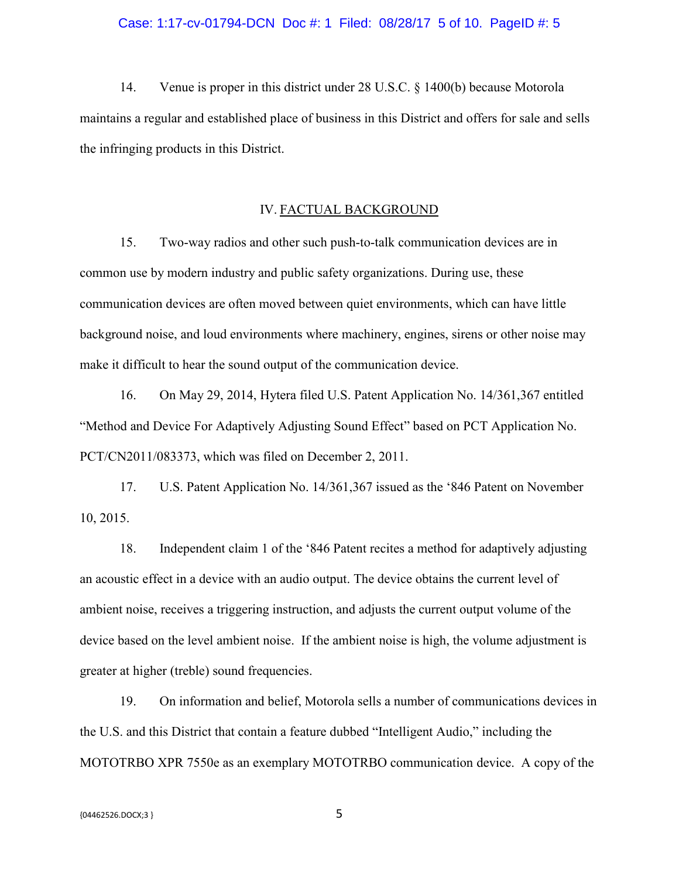#### Case: 1:17-cv-01794-DCN Doc #: 1 Filed: 08/28/17 5 of 10. PageID #: 5

14. Venue is proper in this district under 28 U.S.C. § 1400(b) because Motorola maintains a regular and established place of business in this District and offers for sale and sells the infringing products in this District.

## IV. FACTUAL BACKGROUND

15. Two-way radios and other such push-to-talk communication devices are in common use by modern industry and public safety organizations. During use, these communication devices are often moved between quiet environments, which can have little background noise, and loud environments where machinery, engines, sirens or other noise may make it difficult to hear the sound output of the communication device.

16. On May 29, 2014, Hytera filed U.S. Patent Application No. 14/361,367 entitled "Method and Device For Adaptively Adjusting Sound Effect" based on PCT Application No. PCT/CN2011/083373, which was filed on December 2, 2011.

17. U.S. Patent Application No. 14/361,367 issued as the '846 Patent on November 10, 2015.

18. Independent claim 1 of the '846 Patent recites a method for adaptively adjusting an acoustic effect in a device with an audio output. The device obtains the current level of ambient noise, receives a triggering instruction, and adjusts the current output volume of the device based on the level ambient noise. If the ambient noise is high, the volume adjustment is greater at higher (treble) sound frequencies.

19. On information and belief, Motorola sells a number of communications devices in the U.S. and this District that contain a feature dubbed "Intelligent Audio," including the MOTOTRBO XPR 7550e as an exemplary MOTOTRBO communication device. A copy of the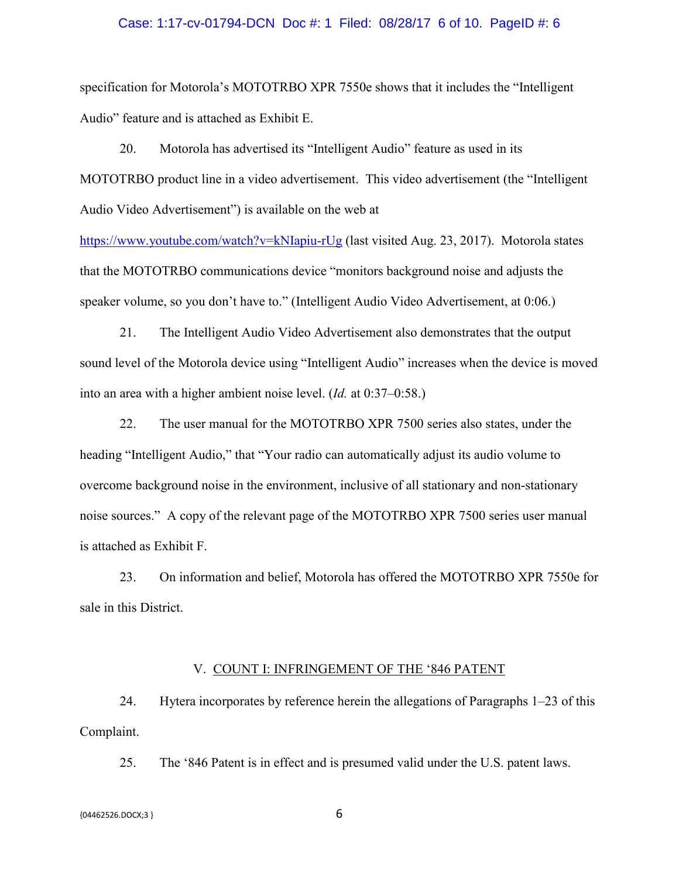#### Case: 1:17-cv-01794-DCN Doc #: 1 Filed: 08/28/17 6 of 10. PageID #: 6

specification for Motorola's MOTOTRBO XPR 7550e shows that it includes the "Intelligent Audio" feature and is attached as Exhibit E.

20. Motorola has advertised its "Intelligent Audio" feature as used in its MOTOTRBO product line in a video advertisement. This video advertisement (the "Intelligent Audio Video Advertisement") is available on the web at

https://www.youtube.com/watch?v=kNIapiu-rUg (last visited Aug. 23, 2017). Motorola states that the MOTOTRBO communications device "monitors background noise and adjusts the speaker volume, so you don't have to." (Intelligent Audio Video Advertisement, at 0:06.)

21. The Intelligent Audio Video Advertisement also demonstrates that the output sound level of the Motorola device using "Intelligent Audio" increases when the device is moved into an area with a higher ambient noise level. (*Id.* at 0:37–0:58.)

22. The user manual for the MOTOTRBO XPR 7500 series also states, under the heading "Intelligent Audio," that "Your radio can automatically adjust its audio volume to overcome background noise in the environment, inclusive of all stationary and non-stationary noise sources." A copy of the relevant page of the MOTOTRBO XPR 7500 series user manual is attached as Exhibit F.

23. On information and belief, Motorola has offered the MOTOTRBO XPR 7550e for sale in this District.

## V. COUNT I: INFRINGEMENT OF THE '846 PATENT

24. Hytera incorporates by reference herein the allegations of Paragraphs 1–23 of this Complaint.

25. The '846 Patent is in effect and is presumed valid under the U.S. patent laws.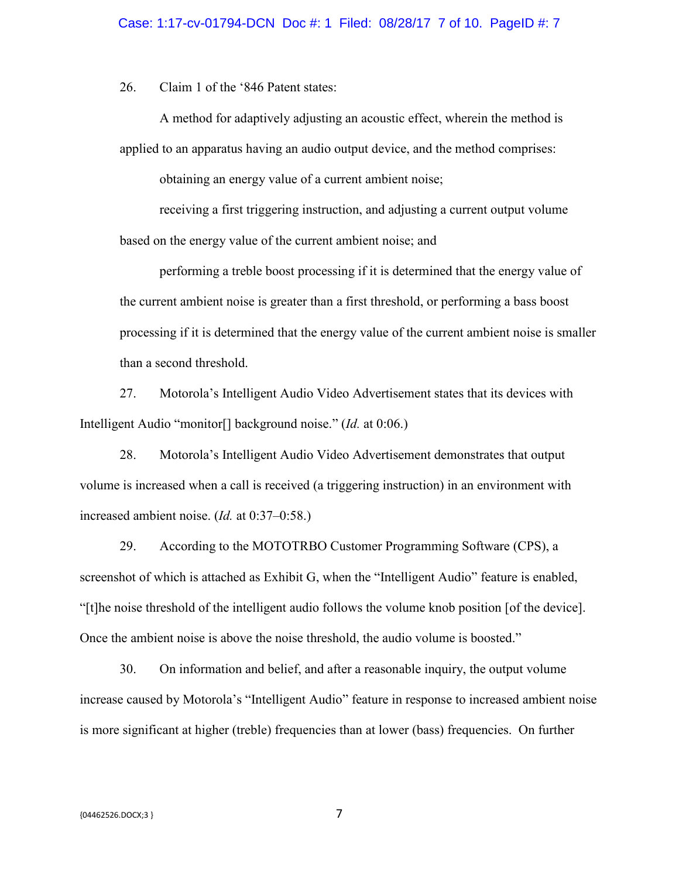26. Claim 1 of the '846 Patent states:

A method for adaptively adjusting an acoustic effect, wherein the method is applied to an apparatus having an audio output device, and the method comprises:

obtaining an energy value of a current ambient noise;

receiving a first triggering instruction, and adjusting a current output volume based on the energy value of the current ambient noise; and

performing a treble boost processing if it is determined that the energy value of the current ambient noise is greater than a first threshold, or performing a bass boost processing if it is determined that the energy value of the current ambient noise is smaller than a second threshold.

27. Motorola's Intelligent Audio Video Advertisement states that its devices with Intelligent Audio "monitor[] background noise." (*Id.* at 0:06.)

28. Motorola's Intelligent Audio Video Advertisement demonstrates that output volume is increased when a call is received (a triggering instruction) in an environment with increased ambient noise. (*Id.* at 0:37–0:58.)

29. According to the MOTOTRBO Customer Programming Software (CPS), a screenshot of which is attached as Exhibit G, when the "Intelligent Audio" feature is enabled, "[t]he noise threshold of the intelligent audio follows the volume knob position [of the device]. Once the ambient noise is above the noise threshold, the audio volume is boosted."

30. On information and belief, and after a reasonable inquiry, the output volume increase caused by Motorola's "Intelligent Audio" feature in response to increased ambient noise is more significant at higher (treble) frequencies than at lower (bass) frequencies. On further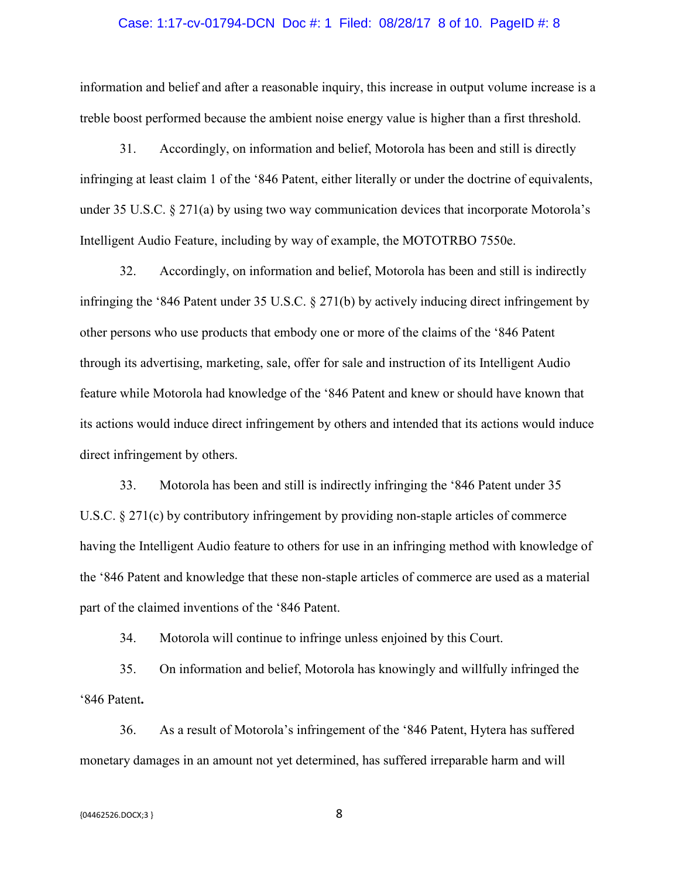#### Case: 1:17-cv-01794-DCN Doc #: 1 Filed: 08/28/17 8 of 10. PageID #: 8

information and belief and after a reasonable inquiry, this increase in output volume increase is a treble boost performed because the ambient noise energy value is higher than a first threshold.

31. Accordingly, on information and belief, Motorola has been and still is directly infringing at least claim 1 of the '846 Patent, either literally or under the doctrine of equivalents, under 35 U.S.C. § 271(a) by using two way communication devices that incorporate Motorola's Intelligent Audio Feature, including by way of example, the MOTOTRBO 7550e.

32. Accordingly, on information and belief, Motorola has been and still is indirectly infringing the '846 Patent under 35 U.S.C. § 271(b) by actively inducing direct infringement by other persons who use products that embody one or more of the claims of the '846 Patent through its advertising, marketing, sale, offer for sale and instruction of its Intelligent Audio feature while Motorola had knowledge of the '846 Patent and knew or should have known that its actions would induce direct infringement by others and intended that its actions would induce direct infringement by others.

33. Motorola has been and still is indirectly infringing the '846 Patent under 35 U.S.C. § 271(c) by contributory infringement by providing non-staple articles of commerce having the Intelligent Audio feature to others for use in an infringing method with knowledge of the '846 Patent and knowledge that these non-staple articles of commerce are used as a material part of the claimed inventions of the '846 Patent.

34. Motorola will continue to infringe unless enjoined by this Court.

35. On information and belief, Motorola has knowingly and willfully infringed the '846 Patent**.**

36. As a result of Motorola's infringement of the '846 Patent, Hytera has suffered monetary damages in an amount not yet determined, has suffered irreparable harm and will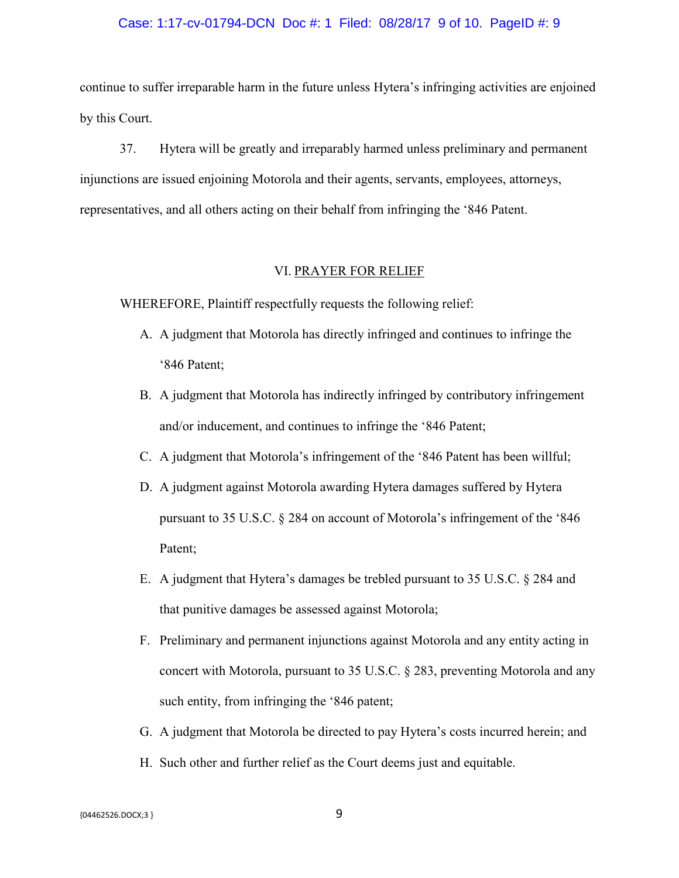#### Case: 1:17-cv-01794-DCN Doc #: 1 Filed: 08/28/17 9 of 10. PageID #: 9

continue to suffer irreparable harm in the future unless Hytera's infringing activities are enjoined by this Court.

37. Hytera will be greatly and irreparably harmed unless preliminary and permanent injunctions are issued enjoining Motorola and their agents, servants, employees, attorneys, representatives, and all others acting on their behalf from infringing the '846 Patent.

### VI. PRAYER FOR RELIEF

WHEREFORE, Plaintiff respectfully requests the following relief:

- A. A judgment that Motorola has directly infringed and continues to infringe the '846 Patent;
- B. A judgment that Motorola has indirectly infringed by contributory infringement and/or inducement, and continues to infringe the '846 Patent;
- C. A judgment that Motorola's infringement of the '846 Patent has been willful;
- D. A judgment against Motorola awarding Hytera damages suffered by Hytera pursuant to 35 U.S.C. § 284 on account of Motorola's infringement of the '846 Patent;
- E. A judgment that Hytera's damages be trebled pursuant to 35 U.S.C. § 284 and that punitive damages be assessed against Motorola;
- F. Preliminary and permanent injunctions against Motorola and any entity acting in concert with Motorola, pursuant to 35 U.S.C. § 283, preventing Motorola and any such entity, from infringing the '846 patent;
- G. A judgment that Motorola be directed to pay Hytera's costs incurred herein; and
- H. Such other and further relief as the Court deems just and equitable.